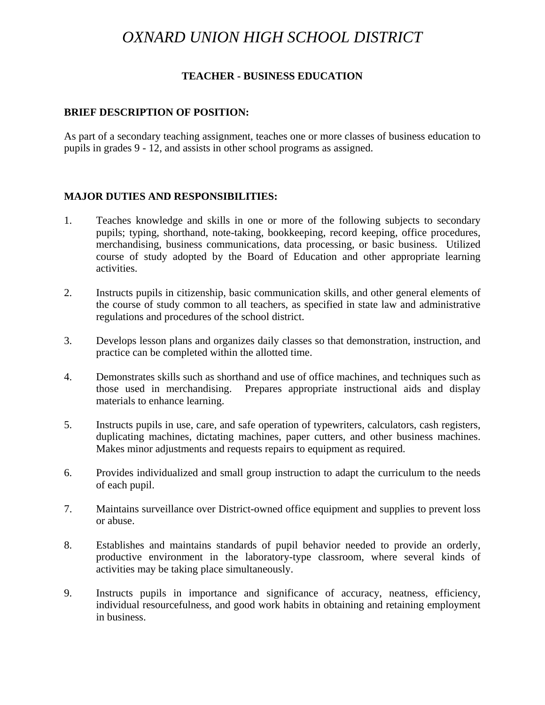# *OXNARD UNION HIGH SCHOOL DISTRICT*

#### **TEACHER - BUSINESS EDUCATION**

#### **BRIEF DESCRIPTION OF POSITION:**

As part of a secondary teaching assignment, teaches one or more classes of business education to pupils in grades 9 - 12, and assists in other school programs as assigned.

#### **MAJOR DUTIES AND RESPONSIBILITIES:**

- 1. Teaches knowledge and skills in one or more of the following subjects to secondary pupils; typing, shorthand, note-taking, bookkeeping, record keeping, office procedures, merchandising, business communications, data processing, or basic business. Utilized course of study adopted by the Board of Education and other appropriate learning activities.
- 2. Instructs pupils in citizenship, basic communication skills, and other general elements of the course of study common to all teachers, as specified in state law and administrative regulations and procedures of the school district.
- 3. Develops lesson plans and organizes daily classes so that demonstration, instruction, and practice can be completed within the allotted time.
- 4. Demonstrates skills such as shorthand and use of office machines, and techniques such as those used in merchandising. Prepares appropriate instructional aids and display materials to enhance learning.
- 5. Instructs pupils in use, care, and safe operation of typewriters, calculators, cash registers, duplicating machines, dictating machines, paper cutters, and other business machines. Makes minor adjustments and requests repairs to equipment as required.
- 6. Provides individualized and small group instruction to adapt the curriculum to the needs of each pupil.
- 7. Maintains surveillance over District-owned office equipment and supplies to prevent loss or abuse.
- 8. Establishes and maintains standards of pupil behavior needed to provide an orderly, productive environment in the laboratory-type classroom, where several kinds of activities may be taking place simultaneously.
- 9. Instructs pupils in importance and significance of accuracy, neatness, efficiency, individual resourcefulness, and good work habits in obtaining and retaining employment in business.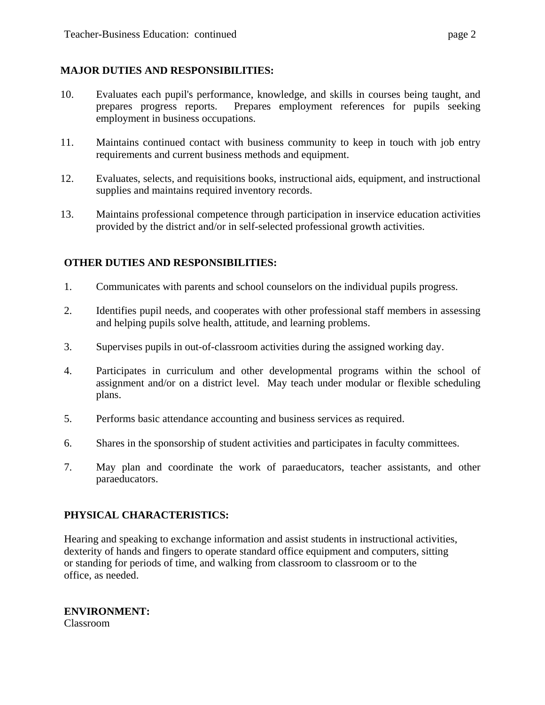## **MAJOR DUTIES AND RESPONSIBILITIES:**

- 10. Evaluates each pupil's performance, knowledge, and skills in courses being taught, and prepares progress reports. Prepares employment references for pupils seeking employment in business occupations.
- 11. Maintains continued contact with business community to keep in touch with job entry requirements and current business methods and equipment.
- 12. Evaluates, selects, and requisitions books, instructional aids, equipment, and instructional supplies and maintains required inventory records.
- 13. Maintains professional competence through participation in inservice education activities provided by the district and/or in self-selected professional growth activities.

## **OTHER DUTIES AND RESPONSIBILITIES:**

- 1. Communicates with parents and school counselors on the individual pupils progress.
- 2. Identifies pupil needs, and cooperates with other professional staff members in assessing and helping pupils solve health, attitude, and learning problems.
- 3. Supervises pupils in out-of-classroom activities during the assigned working day.
- 4. Participates in curriculum and other developmental programs within the school of assignment and/or on a district level. May teach under modular or flexible scheduling plans.
- 5. Performs basic attendance accounting and business services as required.
- 6. Shares in the sponsorship of student activities and participates in faculty committees.
- 7. May plan and coordinate the work of paraeducators, teacher assistants, and other paraeducators.

### **PHYSICAL CHARACTERISTICS:**

Hearing and speaking to exchange information and assist students in instructional activities, dexterity of hands and fingers to operate standard office equipment and computers, sitting or standing for periods of time, and walking from classroom to classroom or to the office, as needed.

**ENVIRONMENT:**  Classroom